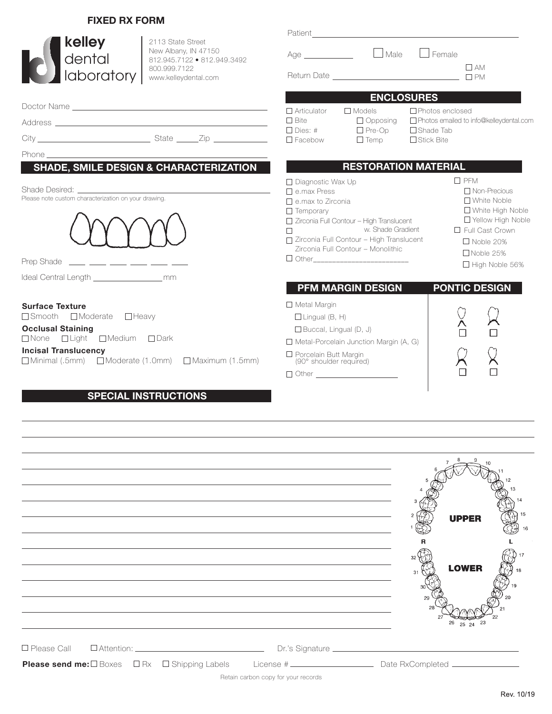### **FIXED RX FORM**

| kelley<br>2113 State Street<br>New Albany, IN 47150<br>dental<br>812.945.7122 • 812.949.3492<br>800.999.7122                                                                                                                   | $\Box$ Male<br>$\Box$ Female<br>Age                                                                                                                                                                                                                                                                                                                                                                                                                                                                             | $\Box$ AM                               |
|--------------------------------------------------------------------------------------------------------------------------------------------------------------------------------------------------------------------------------|-----------------------------------------------------------------------------------------------------------------------------------------------------------------------------------------------------------------------------------------------------------------------------------------------------------------------------------------------------------------------------------------------------------------------------------------------------------------------------------------------------------------|-----------------------------------------|
| laboratory  <br>www.kelleydental.com                                                                                                                                                                                           |                                                                                                                                                                                                                                                                                                                                                                                                                                                                                                                 |                                         |
|                                                                                                                                                                                                                                | <b>ENCLOSURES</b>                                                                                                                                                                                                                                                                                                                                                                                                                                                                                               |                                         |
|                                                                                                                                                                                                                                | $\Box$ Photos enclosed<br>$\Box$ Articulator<br>$\Box$ Models<br>$\Box$ Bite                                                                                                                                                                                                                                                                                                                                                                                                                                    | Photos emailed to info@kelleydental.com |
|                                                                                                                                                                                                                                | $\Box$ Opposing<br>$\Box$ Dies: #<br>$\Box$ Pre-Op<br>$\Box$ Shade Tab                                                                                                                                                                                                                                                                                                                                                                                                                                          |                                         |
|                                                                                                                                                                                                                                | $\square$ Facebow<br>$\Box$ Temp<br>□ Stick Bite                                                                                                                                                                                                                                                                                                                                                                                                                                                                |                                         |
| Phone has a strategic contract to the contract of the contract of the contract of the contract of the contract of the contract of the contract of the contract of the contract of the contract of the contract of the contract |                                                                                                                                                                                                                                                                                                                                                                                                                                                                                                                 |                                         |
| <b>SHADE, SMILE DESIGN &amp; CHARACTERIZATION</b>                                                                                                                                                                              | <b>RESTORATION MATERIAL</b>                                                                                                                                                                                                                                                                                                                                                                                                                                                                                     |                                         |
| Please note custom characterization on your drawing.<br>Prep Shade ____ ___ ___ ___ ___ ___ ___                                                                                                                                | $\square$ PFM<br>$\Box$ Diagnostic Wax Up<br>$\Box$ Non-Precious<br>$\Box$ e.max Press<br>$\Box$ White Noble<br>$\Box$ e.max to Zirconia<br>□ White High Noble<br>$\Box$ Temporary<br>□ Yellow High Noble<br>□ Zirconia Full Contour - High Translucent<br>w. Shade Gradient<br>□ Full Cast Crown<br>$\Box$<br>□ Zirconia Full Contour - High Translucent<br>$\Box$ Noble 20%<br>Zirconia Full Contour - Monolithic<br>□ Noble 25%<br>$\Box$ High Noble 56%<br><b>PONTIC DESIGN</b><br><b>PFM MARGIN DESIGN</b> |                                         |
|                                                                                                                                                                                                                                |                                                                                                                                                                                                                                                                                                                                                                                                                                                                                                                 |                                         |
| <b>Surface Texture</b><br>$\Box$ Smooth $\Box$ Moderate $\Box$ Heavy<br><b>Occlusal Staining</b><br>□None □Light □Medium □Dark<br><b>Incisal Translucency</b><br>□ Minimal (.5mm) □ Moderate (1.0mm) □ Maximum (1.5mm)         | $\Box$ Metal Margin<br>$\Box$ Lingual (B, H)<br>$\Box$ Buccal, Lingual (D, J)<br>$\Box$ Metal-Porcelain Junction Margin (A, G)<br>□ Porcelain Butt Margin<br>(90° shoulder required)<br>$\Box$ Other $\Box$                                                                                                                                                                                                                                                                                                     |                                         |

## **SPECIAL INSTRUCTIONS**

|                                                                                                                                                                                                                                                                       | <b>UPPER</b><br><b>LOWER</b> |
|-----------------------------------------------------------------------------------------------------------------------------------------------------------------------------------------------------------------------------------------------------------------------|------------------------------|
| On's Signature call DAttention: contract of the Dr.'s Signature Contract of Dr.'s Signature Contract of the Dr.'s Signature Contract of the Dr.'s Signature Contract of the Dr.'s Signature Contract of the Dr.'s Signature Co<br>Retain carbon copy for your records | 23<br>25<br>24               |